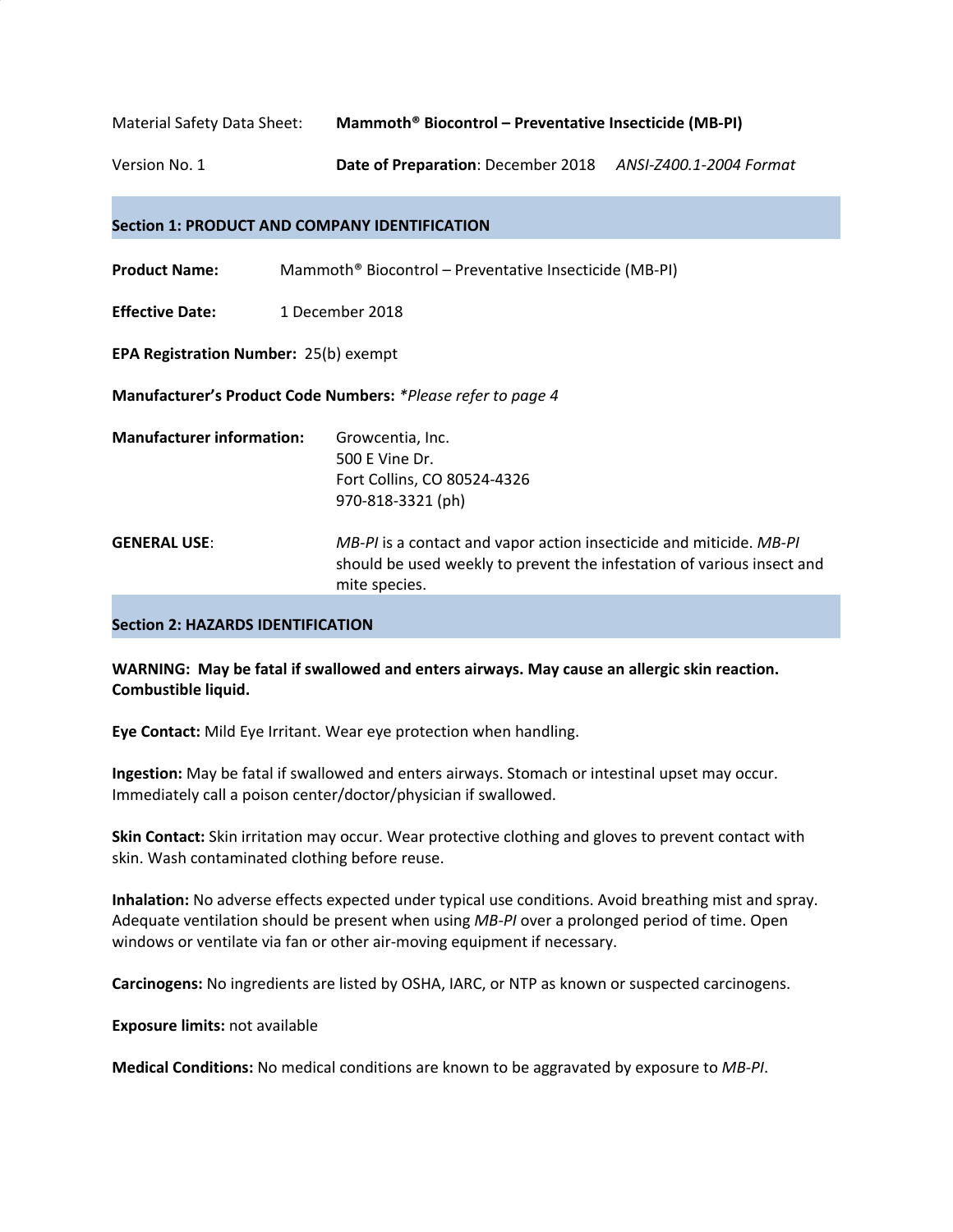| Material Safety Data Sheet:                                  | Mammoth <sup>®</sup> Biocontrol - Preventative Insecticide (MB-PI)                                                                                             |  |  |
|--------------------------------------------------------------|----------------------------------------------------------------------------------------------------------------------------------------------------------------|--|--|
| Version No. 1                                                | Date of Preparation: December 2018 ANSI-Z400.1-2004 Format                                                                                                     |  |  |
| Section 1: PRODUCT AND COMPANY IDENTIFICATION                |                                                                                                                                                                |  |  |
| <b>Product Name:</b>                                         | Mammoth <sup>®</sup> Biocontrol - Preventative Insecticide (MB-PI)                                                                                             |  |  |
| <b>Effective Date:</b>                                       | 1 December 2018                                                                                                                                                |  |  |
| <b>EPA Registration Number: 25(b) exempt</b>                 |                                                                                                                                                                |  |  |
| Manufacturer's Product Code Numbers: *Please refer to page 4 |                                                                                                                                                                |  |  |
| <b>Manufacturer information:</b>                             | Growcentia, Inc.<br>500 E Vine Dr.<br>Fort Collins, CO 80524-4326<br>970-818-3321 (ph)                                                                         |  |  |
| <b>GENERAL USE:</b>                                          | MB-PI is a contact and vapor action insecticide and miticide. MB-PI<br>should be used weekly to prevent the infestation of various insect and<br>mite species. |  |  |
| <b>Section 2: HAZARDS IDENTIFICATION</b>                     |                                                                                                                                                                |  |  |

**WARNING: May be fatal if swallowed and enters airways. May cause an allergic skin reaction. Combustible liquid.**

**Eye Contact:** Mild Eye Irritant. Wear eye protection when handling.

**Ingestion:** May be fatal if swallowed and enters airways. Stomach or intestinal upset may occur. Immediately call a poison center/doctor/physician if swallowed.

**Skin Contact:** Skin irritation may occur. Wear protective clothing and gloves to prevent contact with skin. Wash contaminated clothing before reuse.

**Inhalation:** No adverse effects expected under typical use conditions. Avoid breathing mist and spray. Adequate ventilation should be present when using *MB-PI* over a prolonged period of time. Open windows or ventilate via fan or other air-moving equipment if necessary.

**Carcinogens:** No ingredients are listed by OSHA, IARC, or NTP as known or suspected carcinogens.

**Exposure limits:** not available

**Medical Conditions:** No medical conditions are known to be aggravated by exposure to *MB-PI*.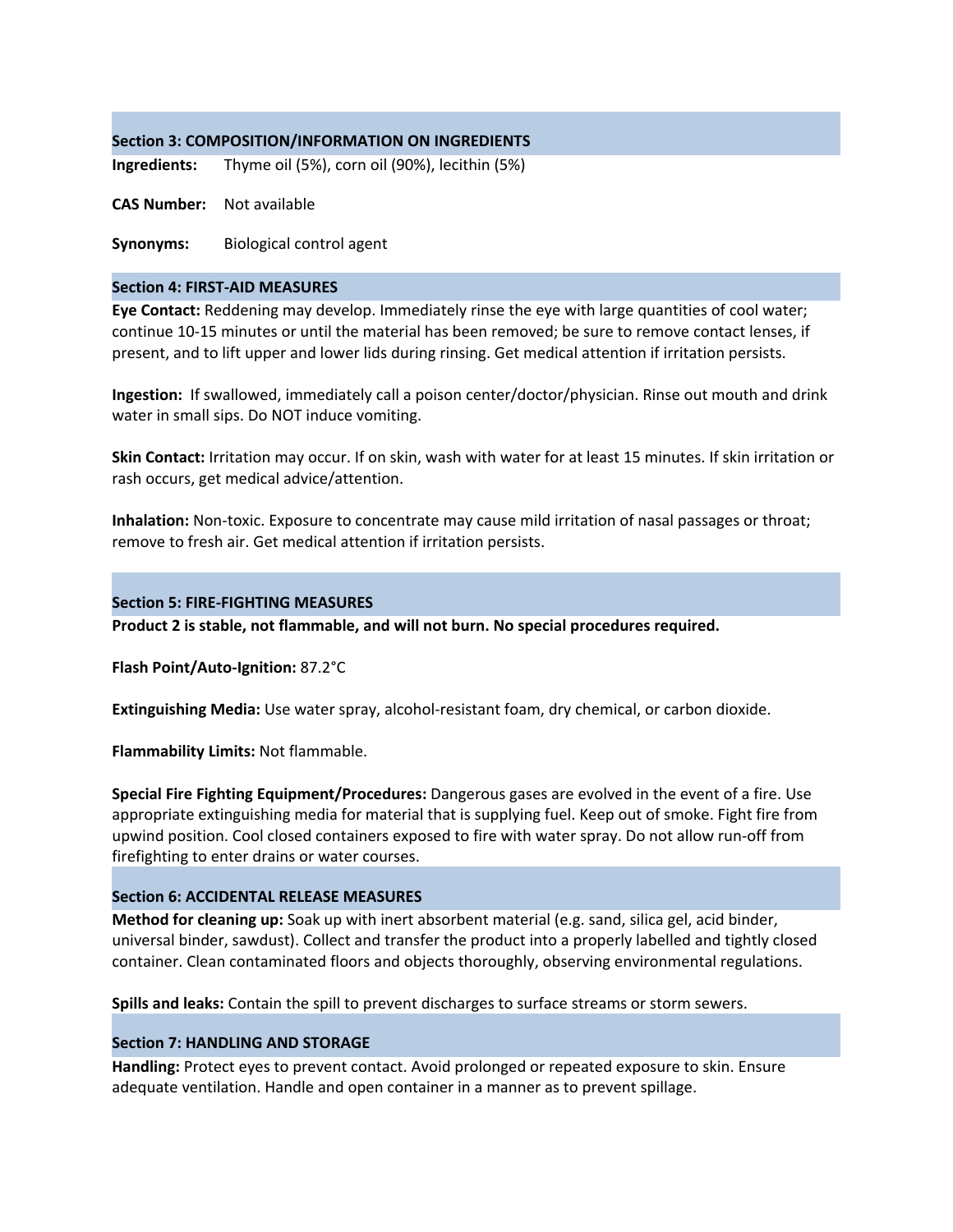### **Section 3: COMPOSITION/INFORMATION ON INGREDIENTS**

**Ingredients:** Thyme oil (5%), corn oil (90%), lecithin (5%)

**CAS Number:** Not available

**Synonyms:** Biological control agent

#### **Section 4: FIRST-AID MEASURES**

**Eye Contact:** Reddening may develop. Immediately rinse the eye with large quantities of cool water; continue 10-15 minutes or until the material has been removed; be sure to remove contact lenses, if present, and to lift upper and lower lids during rinsing. Get medical attention if irritation persists.

**Ingestion:** If swallowed, immediately call a poison center/doctor/physician. Rinse out mouth and drink water in small sips. Do NOT induce vomiting.

**Skin Contact:** Irritation may occur. If on skin, wash with water for at least 15 minutes. If skin irritation or rash occurs, get medical advice/attention.

**Inhalation:** Non-toxic. Exposure to concentrate may cause mild irritation of nasal passages or throat; remove to fresh air. Get medical attention if irritation persists.

#### **Section 5: FIRE-FIGHTING MEASURES**

**Product 2 is stable, not flammable, and will not burn. No special procedures required.**

**Flash Point/Auto-Ignition:** 87.2°C

**Extinguishing Media:** Use water spray, alcohol-resistant foam, dry chemical, or carbon dioxide.

**Flammability Limits:** Not flammable.

**Special Fire Fighting Equipment/Procedures:** Dangerous gases are evolved in the event of a fire. Use appropriate extinguishing media for material that is supplying fuel. Keep out of smoke. Fight fire from upwind position. Cool closed containers exposed to fire with water spray. Do not allow run-off from firefighting to enter drains or water courses.

### **Section 6: ACCIDENTAL RELEASE MEASURES**

**Method for cleaning up:** Soak up with inert absorbent material (e.g. sand, silica gel, acid binder, universal binder, sawdust). Collect and transfer the product into a properly labelled and tightly closed container. Clean contaminated floors and objects thoroughly, observing environmental regulations.

**Spills and leaks:** Contain the spill to prevent discharges to surface streams or storm sewers.

### **Section 7: HANDLING AND STORAGE**

**Handling:** Protect eyes to prevent contact. Avoid prolonged or repeated exposure to skin. Ensure adequate ventilation. Handle and open container in a manner as to prevent spillage.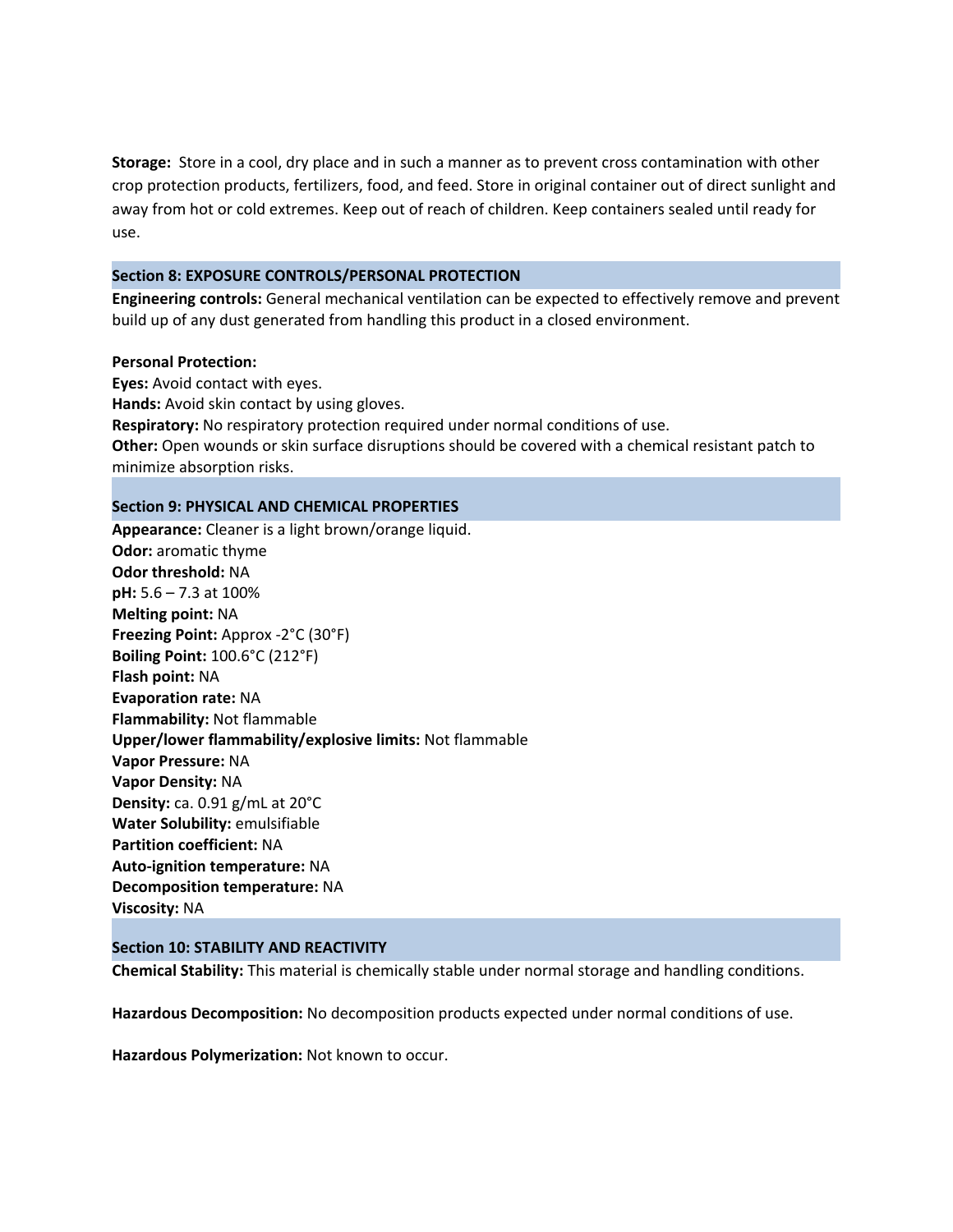**Storage:** Store in a cool, dry place and in such a manner as to prevent cross contamination with other crop protection products, fertilizers, food, and feed. Store in original container out of direct sunlight and away from hot or cold extremes. Keep out of reach of children. Keep containers sealed until ready for use.

### **Section 8: EXPOSURE CONTROLS/PERSONAL PROTECTION**

**Engineering controls:** General mechanical ventilation can be expected to effectively remove and prevent build up of any dust generated from handling this product in a closed environment.

### **Personal Protection:**

**Eyes:** Avoid contact with eyes. **Hands:** Avoid skin contact by using gloves. **Respiratory:** No respiratory protection required under normal conditions of use. **Other:** Open wounds or skin surface disruptions should be covered with a chemical resistant patch to  $minimize$  absorption risks.

### **Section 9: PHYSICAL AND CHEMICAL PROPERTIES**

**Appearance:** Cleaner is a light brown/orange liquid. **Odor:** aromatic thyme **Odor threshold:** NA **pH:** 5.6 – 7.3 at 100% **Melting point:** NA **Freezing Point:** Approx -2°C (30°F) **Boiling Point:** 100.6°C (212°F) **Flash point:** NA **Evaporation rate:** NA **Flammability:** Not flammable **Upper/lower flammability/explosive limits:** Not flammable **Vapor Pressure:** NA **Vapor Density:** NA **Density:** ca. 0.91 g/mL at 20°C **Water Solubility:** emulsifiable **Partition coefficient:** NA **Auto-ignition temperature:** NA **Decomposition temperature:** NA **Viscosity:** NA

## **Section 10: STABILITY AND REACTIVITY**

**Chemical Stability:** This material is chemically stable under normal storage and handling conditions.

**Hazardous Decomposition:** No decomposition products expected under normal conditions of use.

**Hazardous Polymerization:** Not known to occur.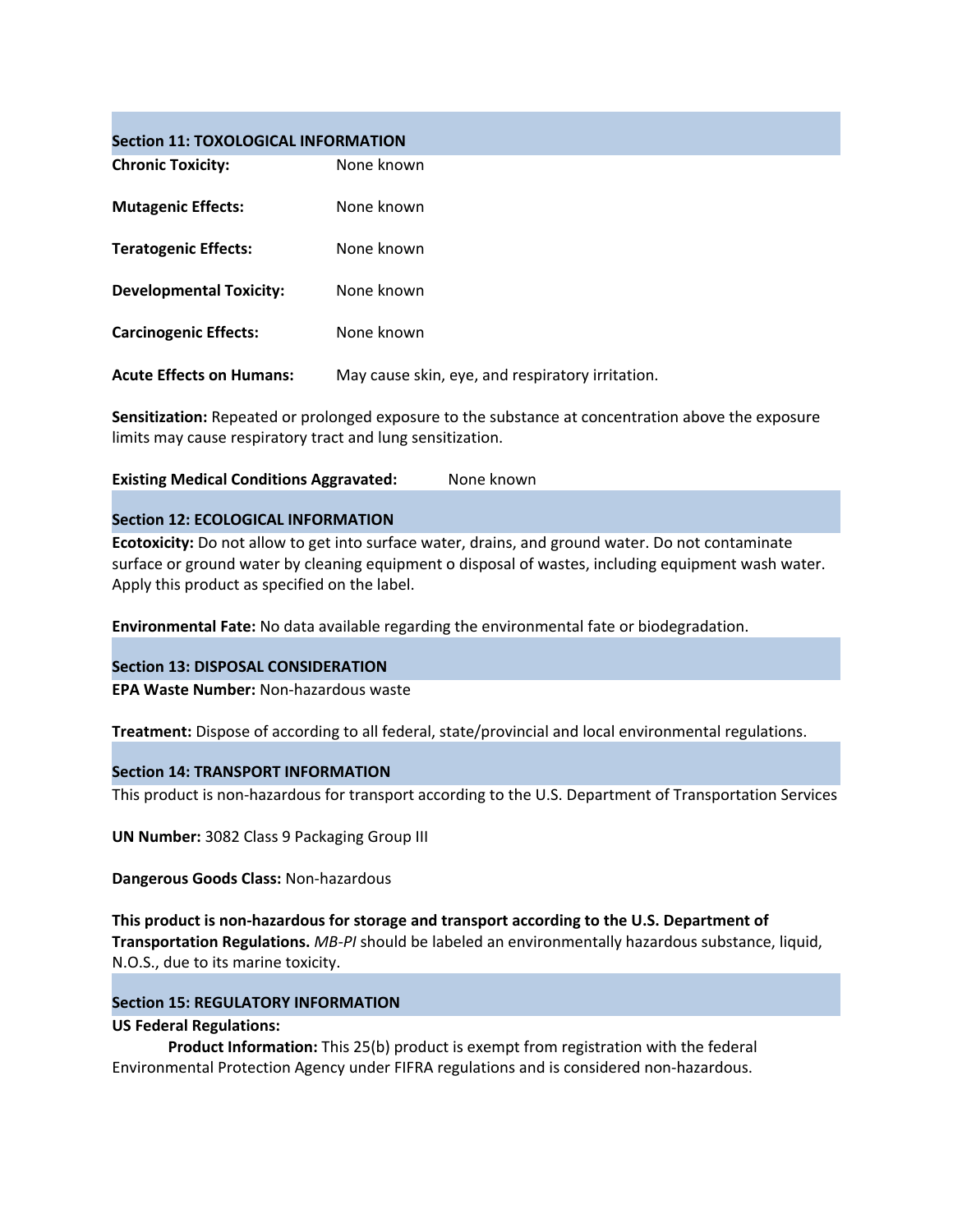## **Section 11: TOXOLOGICAL INFORMATION**

| <b>Chronic Toxicity:</b>        | None known                                       |  |
|---------------------------------|--------------------------------------------------|--|
| <b>Mutagenic Effects:</b>       | None known                                       |  |
| <b>Teratogenic Effects:</b>     | None known                                       |  |
| <b>Developmental Toxicity:</b>  | None known                                       |  |
| <b>Carcinogenic Effects:</b>    | None known                                       |  |
| <b>Acute Effects on Humans:</b> | May cause skin, eye, and respiratory irritation. |  |

**Sensitization:** Repeated or prolonged exposure to the substance at concentration above the exposure limits may cause respiratory tract and lung sensitization.

**Existing Medical Conditions Aggravated:** None known

### **Section 12: ECOLOGICAL INFORMATION**

**Ecotoxicity:** Do not allow to get into surface water, drains, and ground water. Do not contaminate surface or ground water by cleaning equipment o disposal of wastes, including equipment wash water. Apply this product as specified on the label.

**Environmental Fate:** No data available regarding the environmental fate or biodegradation.

### **Section 13: DISPOSAL CONSIDERATION**

**EPA Waste Number:** Non-hazardous waste

**Treatment:** Dispose of according to all federal, state/provincial and local environmental regulations.

#### **Section 14: TRANSPORT INFORMATION**

This product is non-hazardous for transport according to the U.S. Department of Transportation Services

**UN Number:** 3082 Class 9 Packaging Group III

**Dangerous Goods Class:** Non-hazardous

**This product is non-hazardous for storage and transport according to the U.S. Department of Transportation Regulations.** *MB-PI* should be labeled an environmentally hazardous substance, liquid, N.O.S., due to its marine toxicity.

# **Section 15: REGULATORY INFORMATION**

## **US Federal Regulations:**

**Product Information:** This 25(b) product is exempt from registration with the federal Environmental Protection Agency under FIFRA regulations and is considered non-hazardous.